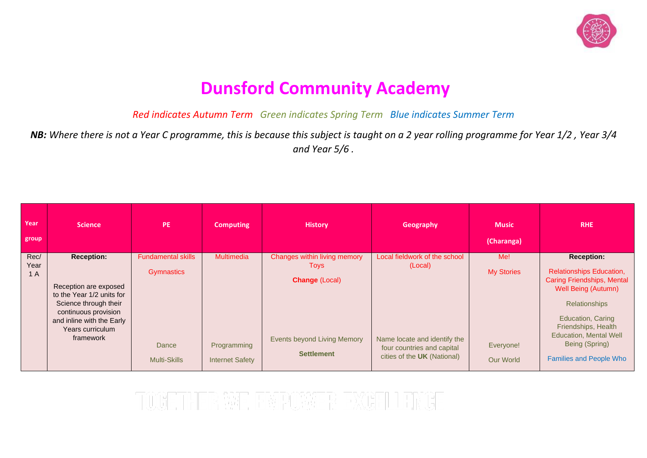

# **Dunsford Community Academy**

*Red indicates Autumn Term Green indicates Spring Term Blue indicates Summer Term*

*NB: Where there is not a Year C programme, this is because this subject is taught on a 2 year rolling programme for Year 1/2 , Year 3/4 and Year 5/6 .* 

| Year<br>group       | <b>Science</b>                                                                                                                                                                         | PE.                                                                     | <b>Computing</b>                                           | <b>History</b>                                                                                                                  | Geography                                                                                                                             | <b>Music</b><br>(Charanga)                                | <b>RHE</b>                                                                                                                                                                                                                                                                |
|---------------------|----------------------------------------------------------------------------------------------------------------------------------------------------------------------------------------|-------------------------------------------------------------------------|------------------------------------------------------------|---------------------------------------------------------------------------------------------------------------------------------|---------------------------------------------------------------------------------------------------------------------------------------|-----------------------------------------------------------|---------------------------------------------------------------------------------------------------------------------------------------------------------------------------------------------------------------------------------------------------------------------------|
| Rec/<br>Year<br>1 A | <b>Reception:</b><br>Reception are exposed<br>to the Year 1/2 units for<br>Science through their<br>continuous provision<br>and inline with the Early<br>Years curriculum<br>framework | <b>Fundamental skills</b><br>Gymnastics<br>Dance<br><b>Multi-Skills</b> | <b>Multimedia</b><br>Programming<br><b>Internet Safety</b> | Changes within living memory<br><b>Toys</b><br><b>Change (Local)</b><br><b>Events beyond Living Memory</b><br><b>Settlement</b> | Local fieldwork of the school<br>(Local)<br>Name locate and identify the<br>four countries and capital<br>cities of the UK (National) | Me!<br><b>My Stories</b><br>Everyone!<br><b>Our World</b> | <b>Reception:</b><br><b>Relationships Education,</b><br><b>Caring Friendships, Mental</b><br>Well Being (Autumn)<br><b>Relationships</b><br>Education, Caring<br>Friendships, Health<br><b>Education, Mental Well</b><br>Being (Spring)<br><b>Families and People Who</b> |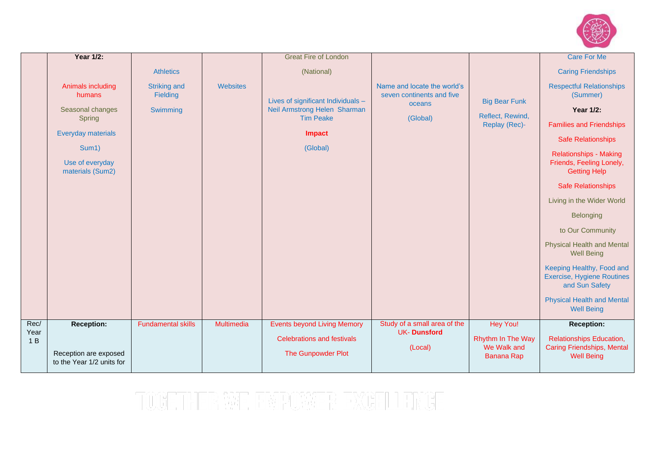

| <b>Year 1/2:</b>                                                        |                                              |                 | <b>Great Fire of London</b>                                                                   |                                                                              |                                                                          | <b>Care For Me</b>                                                                                             |
|-------------------------------------------------------------------------|----------------------------------------------|-----------------|-----------------------------------------------------------------------------------------------|------------------------------------------------------------------------------|--------------------------------------------------------------------------|----------------------------------------------------------------------------------------------------------------|
|                                                                         | <b>Athletics</b>                             |                 | (National)                                                                                    |                                                                              |                                                                          | <b>Caring Friendships</b>                                                                                      |
| Animals including<br>humans                                             | <b>Striking and</b><br>Fielding              | <b>Websites</b> |                                                                                               | Name and locate the world's<br>seven continents and five                     |                                                                          | <b>Respectful Relationships</b><br>(Summer)                                                                    |
| Seasonal changes                                                        | Swimming                                     |                 | Neil Armstrong Helen Sharman                                                                  |                                                                              |                                                                          | <b>Year 1/2:</b>                                                                                               |
|                                                                         |                                              |                 |                                                                                               |                                                                              | Replay (Rec)-                                                            | <b>Families and Friendships</b>                                                                                |
|                                                                         |                                              |                 |                                                                                               |                                                                              |                                                                          | <b>Safe Relationships</b>                                                                                      |
| Use of everyday<br>materials (Sum2)                                     |                                              |                 |                                                                                               |                                                                              |                                                                          | <b>Relationships - Making</b><br>Friends, Feeling Lonely,<br><b>Getting Help</b>                               |
|                                                                         |                                              |                 |                                                                                               |                                                                              |                                                                          | <b>Safe Relationships</b>                                                                                      |
|                                                                         |                                              |                 |                                                                                               |                                                                              |                                                                          | Living in the Wider World                                                                                      |
|                                                                         |                                              |                 |                                                                                               |                                                                              |                                                                          | <b>Belonging</b>                                                                                               |
|                                                                         |                                              |                 |                                                                                               |                                                                              |                                                                          | to Our Community                                                                                               |
|                                                                         |                                              |                 |                                                                                               |                                                                              |                                                                          | <b>Physical Health and Mental</b><br><b>Well Being</b>                                                         |
|                                                                         |                                              |                 |                                                                                               |                                                                              |                                                                          | Keeping Healthy, Food and<br><b>Exercise, Hygiene Routines</b><br>and Sun Safety                               |
|                                                                         |                                              |                 |                                                                                               |                                                                              |                                                                          | <b>Physical Health and Mental</b><br><b>Well Being</b>                                                         |
| <b>Reception:</b><br>Reception are exposed<br>to the Year 1/2 units for | <b>Fundamental skills</b>                    | Multimedia      | <b>Events beyond Living Memory</b><br><b>Celebrations and festivals</b><br>The Gunpowder Plot | Study of a small area of the<br><b>UK-Dunsford</b><br>(Local)                | <b>Hey You!</b><br>Rhythm In The Way<br>We Walk and<br><b>Banana Rap</b> | <b>Reception:</b><br><b>Relationships Education,</b><br><b>Caring Friendships, Mental</b><br><b>Well Being</b> |
|                                                                         | Spring<br><b>Everyday materials</b><br>Sum1) |                 |                                                                                               | Lives of significant Individuals -<br><b>Tim Peake</b><br>Impact<br>(Global) | oceans<br>(Global)                                                       | <b>Big Bear Funk</b><br>Reflect, Rewind,                                                                       |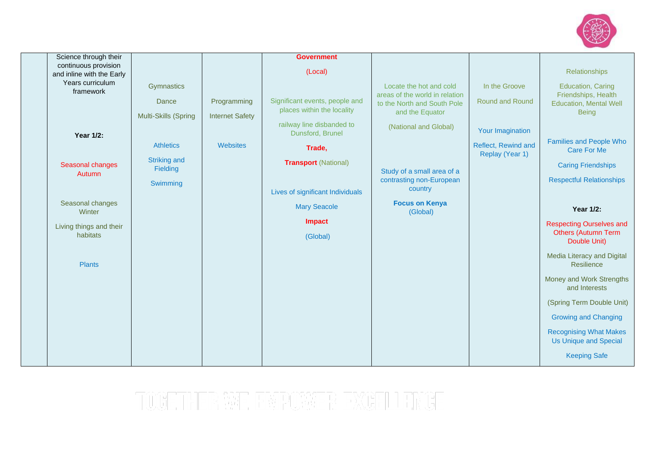

| Science through their                             |                                 |                        | <b>Government</b>                                            |                                                           |                                        |                                                               |
|---------------------------------------------------|---------------------------------|------------------------|--------------------------------------------------------------|-----------------------------------------------------------|----------------------------------------|---------------------------------------------------------------|
| continuous provision<br>and inline with the Early |                                 |                        | (Local)                                                      |                                                           |                                        | Relationships                                                 |
| Years curriculum<br>framework                     | Gymnastics                      |                        |                                                              | Locate the hot and cold<br>areas of the world in relation | In the Groove                          | <b>Education, Caring</b><br>Friendships, Health               |
|                                                   | Dance                           | Programming            | Significant events, people and<br>places within the locality | to the North and South Pole                               | <b>Round and Round</b>                 | <b>Education, Mental Well</b>                                 |
|                                                   | Multi-Skills (Spring            | <b>Internet Safety</b> | railway line disbanded to                                    | and the Equator<br>(National and Global)                  |                                        | <b>Being</b>                                                  |
| <b>Year 1/2:</b>                                  |                                 |                        | Dunsford, Brunel                                             |                                                           | Your Imagination                       |                                                               |
|                                                   | <b>Athletics</b>                | <b>Websites</b>        | Trade,                                                       |                                                           | Reflect, Rewind and<br>Replay (Year 1) | <b>Families and People Who</b><br><b>Care For Me</b>          |
| Seasonal changes<br>Autumn                        | <b>Striking and</b><br>Fielding |                        | <b>Transport (National)</b>                                  | Study of a small area of a                                |                                        | <b>Caring Friendships</b>                                     |
|                                                   | Swimming                        |                        |                                                              | contrasting non-European<br>country                       |                                        | <b>Respectful Relationships</b>                               |
|                                                   |                                 |                        | Lives of significant Individuals                             |                                                           |                                        |                                                               |
| Seasonal changes<br>Winter                        |                                 |                        | <b>Mary Seacole</b>                                          | <b>Focus on Kenya</b><br>(Global)                         |                                        | <b>Year 1/2:</b>                                              |
| Living things and their                           |                                 |                        | Impact                                                       |                                                           |                                        | <b>Respecting Ourselves and</b>                               |
| habitats                                          |                                 |                        | (Global)                                                     |                                                           |                                        | <b>Others (Autumn Term</b><br>Double Unit)                    |
| <b>Plants</b>                                     |                                 |                        |                                                              |                                                           |                                        | Media Literacy and Digital<br>Resilience                      |
|                                                   |                                 |                        |                                                              |                                                           |                                        | Money and Work Strengths<br>and Interests                     |
|                                                   |                                 |                        |                                                              |                                                           |                                        | (Spring Term Double Unit)                                     |
|                                                   |                                 |                        |                                                              |                                                           |                                        | <b>Growing and Changing</b>                                   |
|                                                   |                                 |                        |                                                              |                                                           |                                        | <b>Recognising What Makes</b><br><b>Us Unique and Special</b> |
|                                                   |                                 |                        |                                                              |                                                           |                                        | <b>Keeping Safe</b>                                           |
|                                                   |                                 |                        |                                                              |                                                           |                                        |                                                               |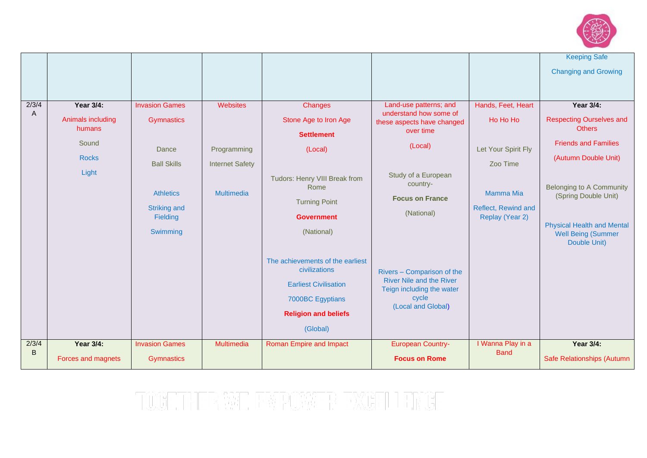

|            |                             |                       |                        |                                                   |                                                              |                     | <b>Keeping Safe</b>                                     |
|------------|-----------------------------|-----------------------|------------------------|---------------------------------------------------|--------------------------------------------------------------|---------------------|---------------------------------------------------------|
|            |                             |                       |                        |                                                   |                                                              |                     | <b>Changing and Growing</b>                             |
|            |                             |                       |                        |                                                   |                                                              |                     |                                                         |
| 2/3/4<br>A | <b>Year 3/4:</b>            | <b>Invasion Games</b> | <b>Websites</b>        | Changes                                           | Land-use patterns; and<br>understand how some of             | Hands, Feet, Heart  | <b>Year 3/4:</b>                                        |
|            | Animals including<br>humans | <b>Gymnastics</b>     |                        | Stone Age to Iron Age                             | these aspects have changed                                   | Ho Ho Ho            | <b>Respecting Ourselves and</b><br><b>Others</b>        |
|            |                             |                       |                        | <b>Settlement</b>                                 | over time                                                    |                     |                                                         |
|            | Sound                       | Dance                 | Programming            | (Local)                                           | (Local)                                                      | Let Your Spirit Fly | <b>Friends and Families</b>                             |
|            | <b>Rocks</b>                | <b>Ball Skills</b>    | <b>Internet Safety</b> |                                                   |                                                              | Zoo Time            | (Autumn Double Unit)                                    |
|            | Light                       |                       |                        | Tudors: Henry VIII Break from                     | Study of a European<br>country-                              |                     |                                                         |
|            |                             | <b>Athletics</b>      | <b>Multimedia</b>      | Rome                                              | <b>Focus on France</b>                                       | Mamma Mia           | <b>Belonging to A Community</b><br>(Spring Double Unit) |
|            |                             | <b>Striking and</b>   |                        | <b>Turning Point</b>                              |                                                              | Reflect, Rewind and |                                                         |
|            |                             | Fielding              |                        | <b>Government</b>                                 | (National)                                                   | Replay (Year 2)     | <b>Physical Health and Mental</b>                       |
|            |                             | Swimming              |                        | (National)                                        |                                                              |                     | <b>Well Being (Summer</b><br>Double Unit)               |
|            |                             |                       |                        | The achievements of the earliest<br>civilizations | Rivers - Comparison of the                                   |                     |                                                         |
|            |                             |                       |                        | <b>Earliest Civilisation</b>                      | <b>River Nile and the River</b><br>Teign including the water |                     |                                                         |
|            |                             |                       |                        | 7000BC Egyptians                                  | cycle<br>(Local and Global)                                  |                     |                                                         |
|            |                             |                       |                        | <b>Religion and beliefs</b>                       |                                                              |                     |                                                         |
|            |                             |                       |                        | (Global)                                          |                                                              |                     |                                                         |
| 2/3/4      | <b>Year 3/4:</b>            | <b>Invasion Games</b> | Multimedia             | <b>Roman Empire and Impact</b>                    | <b>European Country-</b>                                     | I Wanna Play in a   | <b>Year 3/4:</b>                                        |
| B          | Forces and magnets          | <b>Gymnastics</b>     |                        |                                                   | <b>Focus on Rome</b>                                         | <b>Band</b>         | Safe Relationships (Autumn                              |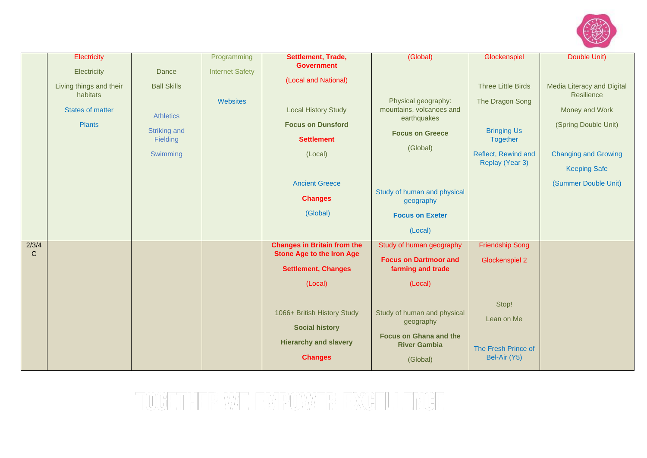

|              | Electricity             |                                 | Programming            | Settlement, Trade,                 | (Global)                                             | Glockenspiel                           | Double Unit)                      |
|--------------|-------------------------|---------------------------------|------------------------|------------------------------------|------------------------------------------------------|----------------------------------------|-----------------------------------|
|              | Electricity             | Dance                           | <b>Internet Safety</b> | <b>Government</b>                  |                                                      |                                        |                                   |
|              | Living things and their | <b>Ball Skills</b>              |                        | (Local and National)               |                                                      | <b>Three Little Birds</b>              | <b>Media Literacy and Digital</b> |
|              | habitats                |                                 |                        |                                    |                                                      |                                        | Resilience                        |
|              | <b>States of matter</b> |                                 | Websites               | <b>Local History Study</b>         | Physical geography:<br>mountains, volcanoes and      | The Dragon Song                        | Money and Work                    |
|              | <b>Plants</b>           | <b>Athletics</b>                |                        | <b>Focus on Dunsford</b>           | earthquakes                                          |                                        | (Spring Double Unit)              |
|              |                         | <b>Striking and</b><br>Fielding |                        | <b>Settlement</b>                  | <b>Focus on Greece</b>                               | <b>Bringing Us</b><br>Together         |                                   |
|              |                         |                                 |                        |                                    | (Global)                                             |                                        |                                   |
|              |                         | Swimming                        |                        | (Local)                            |                                                      | Reflect, Rewind and<br>Replay (Year 3) | <b>Changing and Growing</b>       |
|              |                         |                                 |                        |                                    |                                                      |                                        | <b>Keeping Safe</b>               |
|              |                         |                                 |                        | <b>Ancient Greece</b>              |                                                      |                                        | (Summer Double Unit)              |
|              |                         |                                 |                        | <b>Changes</b>                     | Study of human and physical<br>geography             |                                        |                                   |
|              |                         |                                 |                        | (Global)                           | <b>Focus on Exeter</b>                               |                                        |                                   |
|              |                         |                                 |                        |                                    | (Local)                                              |                                        |                                   |
| 2/3/4        |                         |                                 |                        | <b>Changes in Britain from the</b> | Study of human geography                             | <b>Friendship Song</b>                 |                                   |
| $\mathsf{C}$ |                         |                                 |                        | <b>Stone Age to the Iron Age</b>   | <b>Focus on Dartmoor and</b>                         | Glockenspiel 2                         |                                   |
|              |                         |                                 |                        | <b>Settlement, Changes</b>         | farming and trade                                    |                                        |                                   |
|              |                         |                                 |                        | (Local)                            | (Local)                                              |                                        |                                   |
|              |                         |                                 |                        |                                    |                                                      | Stop!                                  |                                   |
|              |                         |                                 |                        | 1066+ British History Study        | Study of human and physical<br>geography             | Lean on Me                             |                                   |
|              |                         |                                 |                        | <b>Social history</b>              |                                                      |                                        |                                   |
|              |                         |                                 |                        | <b>Hierarchy and slavery</b>       | <b>Focus on Ghana and the</b><br><b>River Gambia</b> | The Fresh Prince of                    |                                   |
|              |                         |                                 |                        | <b>Changes</b>                     | (Global)                                             | Bel-Air (Y5)                           |                                   |
|              |                         |                                 |                        |                                    |                                                      |                                        |                                   |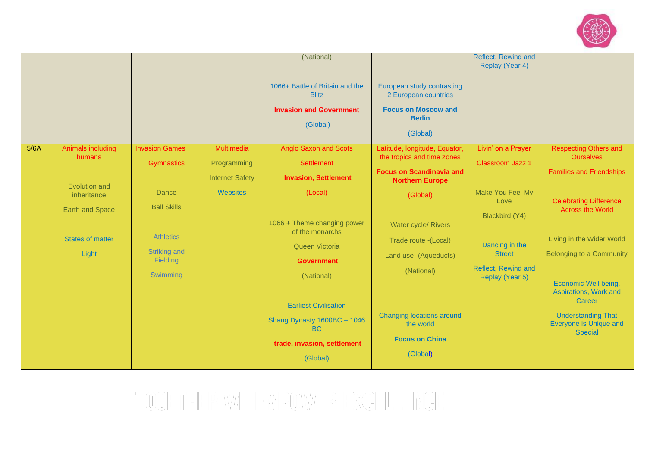

|      |                              |                          |                        | (National)                                                                                    |                                                                                                               | Reflect, Rewind and<br>Replay (Year 4) |                                                            |
|------|------------------------------|--------------------------|------------------------|-----------------------------------------------------------------------------------------------|---------------------------------------------------------------------------------------------------------------|----------------------------------------|------------------------------------------------------------|
|      |                              |                          |                        | 1066+ Battle of Britain and the<br><b>Blitz</b><br><b>Invasion and Government</b><br>(Global) | European study contrasting<br>2 European countries<br><b>Focus on Moscow and</b><br><b>Berlin</b><br>(Global) |                                        |                                                            |
| 5/6A | Animals including<br>humans  | <b>Invasion Games</b>    | Multimedia             | <b>Anglo Saxon and Scots</b>                                                                  | Latitude, longitude, Equator,<br>the tropics and time zones                                                   | Livin' on a Prayer                     | <b>Respecting Others and</b><br><b>Ourselves</b>           |
|      |                              | <b>Gymnastics</b>        | Programming            | <b>Settlement</b>                                                                             |                                                                                                               | Classroom Jazz 1                       |                                                            |
|      |                              |                          | <b>Internet Safety</b> | <b>Invasion, Settlement</b>                                                                   | <b>Focus on Scandinavia and</b><br><b>Northern Europe</b>                                                     |                                        | <b>Families and Friendships</b>                            |
|      | Evolution and<br>inheritance | <b>Dance</b>             | <b>Websites</b>        | (Local)                                                                                       | (Global)                                                                                                      | Make You Feel My<br>Love               | <b>Celebrating Difference</b>                              |
|      | <b>Earth and Space</b>       | <b>Ball Skills</b>       |                        |                                                                                               |                                                                                                               |                                        | <b>Across the World</b>                                    |
|      |                              | <b>Athletics</b>         |                        | 1066 + Theme changing power<br>of the monarchs                                                | Water cycle/ Rivers                                                                                           | Blackbird (Y4)                         |                                                            |
|      | <b>States of matter</b>      |                          |                        | Queen Victoria                                                                                | Trade route -(Local)                                                                                          | Dancing in the                         | Living in the Wider World                                  |
|      | Light                        | Striking and<br>Fielding |                        | <b>Government</b>                                                                             | Land use- (Aqueducts)                                                                                         | <b>Street</b>                          | <b>Belonging to a Community</b>                            |
|      |                              | Swimming                 |                        | (National)                                                                                    | (National)                                                                                                    | Reflect, Rewind and<br>Replay (Year 5) | Economic Well being,                                       |
|      |                              |                          |                        | <b>Earliest Civilisation</b>                                                                  |                                                                                                               |                                        | Aspirations, Work and<br>Career                            |
|      |                              |                          |                        | Shang Dynasty 1600BC - 1046<br><b>BC</b>                                                      | <b>Changing locations around</b><br>the world                                                                 |                                        | <b>Understanding That</b><br><b>Everyone is Unique and</b> |
|      |                              |                          |                        | trade, invasion, settlement                                                                   | <b>Focus on China</b>                                                                                         |                                        | <b>Special</b>                                             |
|      |                              |                          |                        | (Global)                                                                                      | (Global)                                                                                                      |                                        |                                                            |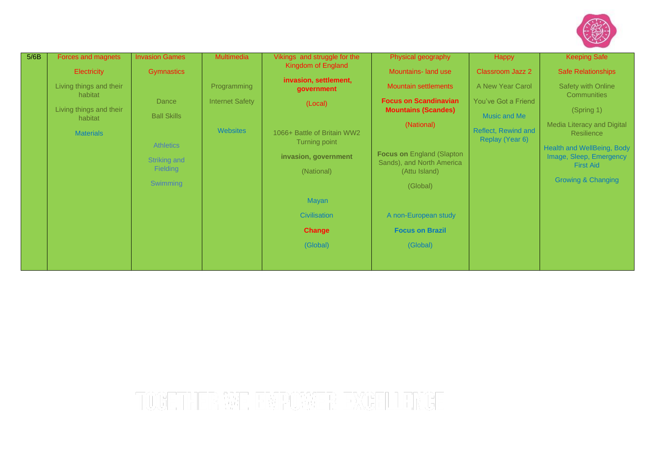

| 5/6B | Forces and magnets                 | <b>Invasion Games</b> | Multimedia             | Vikings and struggle for the        | Physical geography                                            | Happy                                  | <b>Keeping Safe</b>                             |
|------|------------------------------------|-----------------------|------------------------|-------------------------------------|---------------------------------------------------------------|----------------------------------------|-------------------------------------------------|
|      | <b>Electricity</b>                 | Gymnastics            |                        | Kingdom of England                  | Mountains- land use                                           | Classroom Jazz 2                       | <b>Safe Relationships</b>                       |
|      | Living things and their<br>habitat |                       | Programming            | invasion, settlement,<br>government | <b>Mountain settlements</b>                                   | A New Year Carol                       | Safety with Online<br>Communities               |
|      |                                    | Dance                 | <b>Internet Safety</b> | (Local)                             | <b>Focus on Scandinavian</b>                                  | You've Got a Friend                    |                                                 |
|      | Living things and their<br>habitat | <b>Ball Skills</b>    |                        |                                     | <b>Mountains (Scandes)</b>                                    | Music and Me                           | (Spring 1)                                      |
|      | <b>Materials</b>                   |                       | <b>Websites</b>        | 1066+ Battle of Britain WW2         | (National)                                                    | Reflect, Rewind and<br>Replay (Year 6) | <b>Media Literacy and Digital</b><br>Resilience |
|      |                                    | <b>Athletics</b>      |                        | Turning point                       |                                                               |                                        | <b>Health and WellBeing, Body</b>               |
|      |                                    | Striking and          |                        | invasion, government                | <b>Focus on England (Slapton</b><br>Sands), and North America |                                        | Image, Sleep, Emergency<br><b>First Aid</b>     |
|      |                                    | Fielding              |                        | (National)                          | (Attu Island)                                                 |                                        |                                                 |
|      |                                    | Swimming              |                        |                                     | (Global)                                                      |                                        | <b>Growing &amp; Changing</b>                   |
|      |                                    |                       |                        | <b>Mayan</b>                        |                                                               |                                        |                                                 |
|      |                                    |                       |                        | <b>Civilisation</b>                 | A non-European study                                          |                                        |                                                 |
|      |                                    |                       |                        | <b>Change</b>                       | <b>Focus on Brazil</b>                                        |                                        |                                                 |
|      |                                    |                       |                        | (Global)                            | (Global)                                                      |                                        |                                                 |
|      |                                    |                       |                        |                                     |                                                               |                                        |                                                 |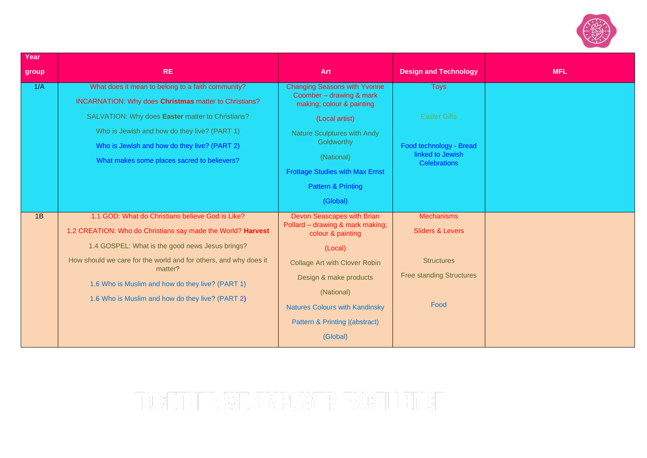

| Year  |                                                                             |                                                       |                                         |            |
|-------|-----------------------------------------------------------------------------|-------------------------------------------------------|-----------------------------------------|------------|
| group | RE.                                                                         | <b>Art</b>                                            | <b>Design and Technology</b>            | <b>MFL</b> |
| 1/A   | What does it mean to belong to a faith community?                           | <b>Changing Seasons with Yvonne</b>                   | <b>Toys</b>                             |            |
|       | <b>INCARNATION: Why does Christmas matter to Christians?</b>                | Coomber - drawing & mark<br>making; colour & painting |                                         |            |
|       | SALVATION: Why does Easter matter to Christians?                            | (Local artist)                                        | <b>Easter Gifts</b>                     |            |
|       | Who is Jewish and how do they live? (PART 1)                                | <b>Nature Sculptures with Andy</b>                    |                                         |            |
|       | Who is Jewish and how do they live? (PART 2)                                | Goldworthy                                            | Food technology - Bread                 |            |
|       | What makes some places sacred to believers?                                 | (National)                                            | linked to Jewish<br><b>Celebrations</b> |            |
|       |                                                                             | <b>Frottage Studies with Max Ernst</b>                |                                         |            |
|       |                                                                             | Pattern & Printing                                    |                                         |            |
|       |                                                                             | (Global)                                              |                                         |            |
| 1B    | 1.1 GOD: What do Christians believe God is Like?                            | Devon Seascapes with Brian                            | <b>Mechanisms</b>                       |            |
|       | 1.2 CREATION: Who do Christians say made the World? Harvest                 | Pollard - drawing & mark making;<br>colour & painting | <b>Sliders &amp; Levers</b>             |            |
|       | 1.4 GOSPEL: What is the good news Jesus brings?                             | (Local)                                               |                                         |            |
|       | How should we care for the world and for others, and why does it<br>matter? | <b>Collage Art with Clover Robin</b>                  | <b>Structures</b>                       |            |
|       |                                                                             | Design & make products                                | <b>Free standing Structures</b>         |            |
|       | 1.6 Who is Muslim and how do they live? (PART 1)                            | (National)                                            |                                         |            |
|       | 1.6 Who is Muslim and how do they live? (PART 2)                            | <b>Natures Colours with Kandinsky</b>                 | Food                                    |            |
|       |                                                                             | Pattern & Printing ((abstract)                        |                                         |            |
|       |                                                                             | (Global)                                              |                                         |            |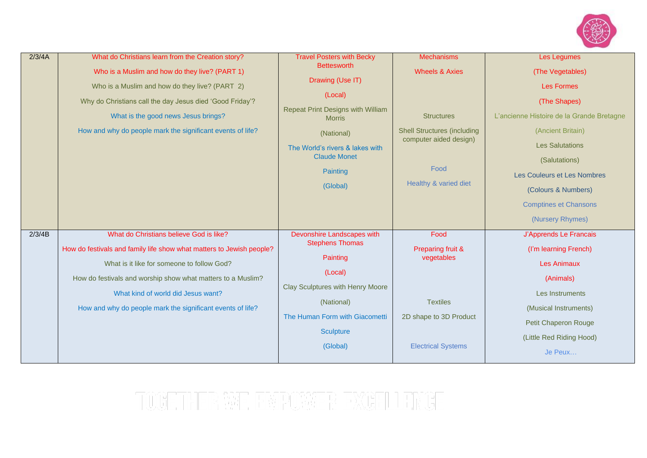

| 2/3/4A | What do Christians learn from the Creation story?<br>Who is a Muslim and how do they live? (PART 1)<br>Who is a Muslim and how do they live? (PART 2)<br>Why do Christians call the day Jesus died 'Good Friday'?<br>What is the good news Jesus brings?<br>How and why do people mark the significant events of life?           | <b>Travel Posters with Becky</b><br><b>Bettesworth</b><br>Drawing (Use IT)<br>(Local)<br><b>Repeat Print Designs with William</b><br><b>Morris</b><br>(National)<br>The World's rivers & lakes with<br><b>Claude Monet</b><br>Painting<br>(Global) | <b>Mechanisms</b><br><b>Wheels &amp; Axies</b><br><b>Structures</b><br><b>Shell Structures (including</b><br>computer aided design)<br>Food<br>Healthy & varied diet | Les Legumes<br>(The Vegetables)<br><b>Les Formes</b><br>(The Shapes)<br>L'ancienne Histoire de la Grande Bretagne<br>(Ancient Britain)<br><b>Les Salutations</b><br>(Salutations)<br>Les Couleurs et Les Nombres<br>(Colours & Numbers)<br><b>Comptines et Chansons</b><br>(Nursery Rhymes) |
|--------|----------------------------------------------------------------------------------------------------------------------------------------------------------------------------------------------------------------------------------------------------------------------------------------------------------------------------------|----------------------------------------------------------------------------------------------------------------------------------------------------------------------------------------------------------------------------------------------------|----------------------------------------------------------------------------------------------------------------------------------------------------------------------|---------------------------------------------------------------------------------------------------------------------------------------------------------------------------------------------------------------------------------------------------------------------------------------------|
| 2/3/4B | What do Christians believe God is like?<br>How do festivals and family life show what matters to Jewish people?<br>What is it like for someone to follow God?<br>How do festivals and worship show what matters to a Muslim?<br>What kind of world did Jesus want?<br>How and why do people mark the significant events of life? | Devonshire Landscapes with<br><b>Stephens Thomas</b><br>Painting<br>(Local)<br>Clay Sculptures with Henry Moore<br>(National)<br>The Human Form with Giacometti<br><b>Sculpture</b><br>(Global)                                                    | Food<br>Preparing fruit &<br>vegetables<br><b>Textiles</b><br>2D shape to 3D Product<br><b>Electrical Systems</b>                                                    | J'Apprends Le Francais<br>(I'm learning French)<br>Les Animaux<br>(Animals)<br>Les Instruments<br>(Musical Instruments)<br>Petit Chaperon Rouge<br>(Little Red Riding Hood)<br>Je Peux                                                                                                      |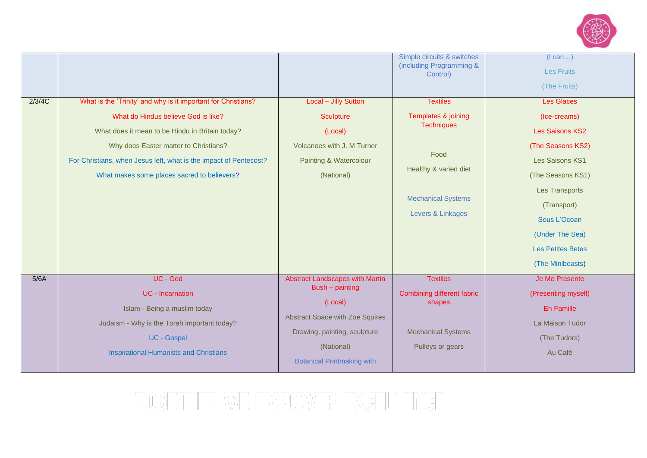

|        |                                                                                                                                                                                                                                                                                                                      |                                                                                                                                                                                                     | Simple circuits & switches<br>(including Programming &<br>Control)                                                                             | (1 can)<br><b>Les Fruits</b><br>(The Fruits)                                                                                                                                                                                                 |
|--------|----------------------------------------------------------------------------------------------------------------------------------------------------------------------------------------------------------------------------------------------------------------------------------------------------------------------|-----------------------------------------------------------------------------------------------------------------------------------------------------------------------------------------------------|------------------------------------------------------------------------------------------------------------------------------------------------|----------------------------------------------------------------------------------------------------------------------------------------------------------------------------------------------------------------------------------------------|
| 2/3/4C | What is the 'Trinity' and why is it important for Christians?<br>What do Hindus believe God is like?<br>What does it mean to be Hindu in Britain today?<br>Why does Easter matter to Christians?<br>For Christians, when Jesus left, what is the impact of Pentecost?<br>What makes some places sacred to believers? | Local - Jilly Sutton<br><b>Sculpture</b><br>(Local)<br>Volcanoes with J. M Turner<br>Painting & Watercolour<br>(National)                                                                           | <b>Textiles</b><br>Templates & joining<br><b>Techniques</b><br>Food<br>Healthy & varied diet<br><b>Mechanical Systems</b><br>Levers & Linkages | <b>Les Glaces</b><br>(Ice-creams)<br><b>Les Saisons KS2</b><br>(The Seasons KS2)<br>Les Saisons KS1<br>(The Seasons KS1)<br>Les Transports<br>(Transport)<br>Sous L'Ocean<br>(Under The Sea)<br><b>Les Petites Betes</b><br>(The Minibeasts) |
| 5/6A   | UC - God<br><b>UC</b> - Incarnation<br>Islam - Being a muslim today<br>Judaism - Why is the Torah important today?<br><b>UC</b> - Gospel<br><b>Inspirational Humanists and Christians</b>                                                                                                                            | <b>Abstract Landscapes with Martin</b><br>$Bush$ – painting<br>(Local)<br><b>Abstract Space with Zoe Squires</b><br>Drawing, painting, sculpture<br>(National)<br><b>Botanical Printmaking with</b> | <b>Textiles</b><br><b>Combining different fabric</b><br>shapes<br><b>Mechanical Systems</b><br>Pulleys or gears                                | Je Me Presente<br>(Presenting myself)<br><b>En Famille</b><br>La Maison Tudor<br>(The Tudors)<br>Au Café                                                                                                                                     |